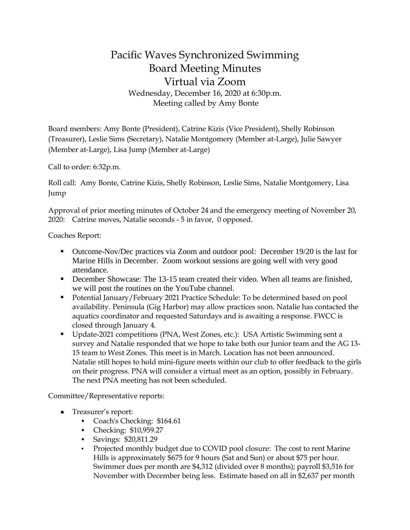## Pacific Waves Synchronized Swimming Board Meeting Minutes Virtual via Zoom Wednesday, December 16, 2020 at 6:30p.m. Meeting called by Amy Bonte

Board members: Amy Bonte (President), Catrine Kizis (Vice President), Shelly Robinson (Treasurer), Leslie Sims (Secretary), Natalie Montgomery (Member at-Large), Julie Sawyer (Member at-Large), Lisa Jump (Member at-Large)

Call to order: 6:32p.m.

Roll call: Amy Bonte, Catrine Kizis, Shelly Robinson, Leslie Sims, Natalie Montgomery, Lisa Jump

Approval of prior meeting minutes of October 24 and the emergency meeting of November 20, 2020: Catrine moves, Natalie seconds - 5 in favor, 0 opposed.

Coaches Report:

- Outcome-Nov/Dec practices via Zoom and outdoor pool: December 19/20 is the last for Marine Hills in December. Zoom workout sessions are going well with very good attendance.
- December Showcase: The 13-15 team created their video. When all teams are finished, we will post the routines on the YouTube channel.
- Potential January/February 2021 Practice Schedule: To be determined based on pool availability. Peninsula (Gig Harbor) may allow practices soon. Natalie has contacted the aquatics coordinator and requested Saturdays and is awaiting a response. FWCC is closed through January 4.
- Update-2021 competitions (PNA, West Zones, etc.): USA Artistic Swimming sent a survey and Natalie responded that we hope to take both our Junior team and the AG 13- 15 team to West Zones. This meet is in March. Location has not been announced. Natalie still hopes to hold mini-figure meets within our club to offer feedback to the girls on their progress. PNA will consider a virtual meet as an option, possibly in February. The next PNA meeting has not been scheduled.

Committee/Representative reports:

- Treasurer's report:
	- Coach's Checking: \$164.61
	- Checking: \$10,959.27
	- Savings: \$20,811.29
	- Projected monthly budget due to COVID pool closure: The cost to rent Marine Hills is approximately \$675 for 9 hours (Sat and Sun) or about \$75 per hour. Swimmer dues per month are \$4,312 (divided over 8 months); payroll \$3,516 for November with December being less. Estimate based on all in \$2,637 per month